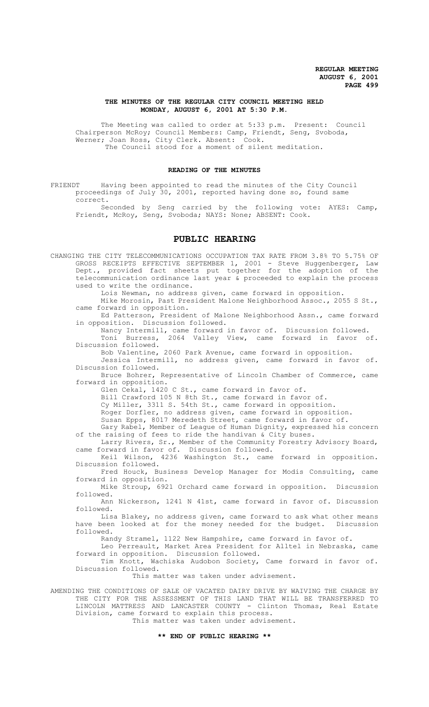# **THE MINUTES OF THE REGULAR CITY COUNCIL MEETING HELD MONDAY, AUGUST 6, 2001 AT 5:30 P.M.**

The Meeting was called to order at 5:33 p.m. Present: Council Chairperson McRoy; Council Members: Camp, Friendt, Seng, Svoboda, Werner; Joan Ross, City Clerk. Absent: Cook. The Council stood for a moment of silent meditation.

# **READING OF THE MINUTES**

FRIENDT Having been appointed to read the minutes of the City Council proceedings of July 30, 2001, reported having done so, found same correct.

Seconded by Seng carried by the following vote: AYES: Camp, Friendt, McRoy, Seng, Svoboda; NAYS: None; ABSENT: Cook.

# **PUBLIC HEARING**

CHANGING THE CITY TELECOMMUNICATIONS OCCUPATION TAX RATE FROM 3.8% TO 5.75% OF GROSS RECEIPTS EFFECTIVE SEPTEMBER 1, 2001 - Steve Huggenberger, Law Dept., provided fact sheets put together for the adoption of the telecommunication ordinance last year & proceeded to explain the process used to write the ordinance.

Lois Newman, no address given, came forward in opposition. Mike Morosin, Past President Malone Neighborhood Assoc., 2055 S St.,

came forward in opposition. Ed Patterson, President of Malone Neighborhood Assn., came forward in opposition. Discussion followed.

Nancy Intermill, came forward in favor of. Discussion followed. Toni Burress, 2064 Valley View, came forward in favor of. Discussion followed.

Bob Valentine, 2060 Park Avenue, came forward in opposition. Jessica Intermill, no address given, came forward in favor of.

Discussion followed.

Bruce Bohrer, Representative of Lincoln Chamber of Commerce, came forward in opposition.

Glen Cekal, 1420 C St., came forward in favor of.

Bill Crawford 105 N 8th St., came forward in favor of.

Cy Miller, 3311 S. 54th St., came forward in opposition.

Roger Dorfler, no address given, came forward in opposition.

Susan Epps, 8017 Meredeth Street, came forward in favor of.

Gary Rabel, Member of League of Human Dignity, expressed his concern of the raising of fees to ride the handivan & City buses.

Larry Rivers, Sr., Member of the Community Forestry Advisory Board, came forward in favor of. Discussion followed.

Keil Wilson, 4236 Washington St., came forward in opposition. Discussion followed.

Fred Houck, Business Develop Manager for Modis Consulting, came forward in opposition.

Mike Stroup, 6921 Orchard came forward in opposition. Discussion followed.

Ann Nickerson, 1241 N 41st, came forward in favor of. Discussion followed.

Lisa Blakey, no address given, came forward to ask what other means have been looked at for the money needed for the budget. Discussion followed.

Randy Stramel, 1122 New Hampshire, came forward in favor of.

Leo Perreault, Market Area President for Alltel in Nebraska, came forward in opposition. Discussion followed.

Tim Knott, Wachiska Audobon Society, Came forward in favor of. Discussion followed.

This matter was taken under advisement.

AMENDING THE CONDITIONS OF SALE OF VACATED DAIRY DRIVE BY WAIVING THE CHARGE BY THE CITY FOR THE ASSESSMENT OF THIS LAND THAT WILL BE TRANSFERRED TO LINCOLN MATTRESS AND LANCASTER COUNTY - Clinton Thomas, Real Estate Division, came forward to explain this process.

This matter was taken under advisement.

# **\*\* END OF PUBLIC HEARING \*\***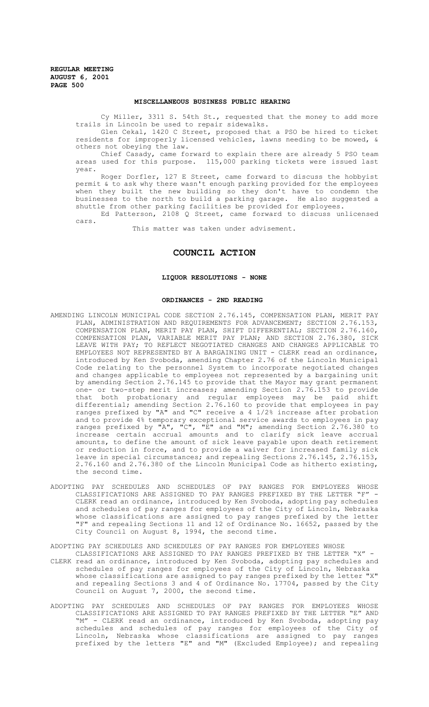#### **MISCELLANEOUS BUSINESS PUBLIC HEARING**

Cy Miller, 3311 S. 54th St., requested that the money to add more trails in Lincoln be used to repair sidewalks.

Glen Cekal, 1420 C Street, proposed that a PSO be hired to ticket residents for improperly licensed vehicles, lawns needing to be mowed, & others not obeying the law.

Chief Casady, came forward to explain there are already 5 PSO team areas used for this purpose. 115,000 parking tickets were issued last year.

Roger Dorfler, 127 E Street, came forward to discuss the hobbyist permit & to ask why there wasn't enough parking provided for the employees when they built the new building so they don't have to condemn the businesses to the north to build a parking garage. He also suggested a shuttle from other parking facilities be provided for employees.

Ed Patterson, 2108 Q Street, came forward to discuss unlicensed cars.

This matter was taken under advisement.

# **COUNCIL ACTION**

## **LIQUOR RESOLUTIONS - NONE**

# **ORDINANCES - 2ND READING**

- AMENDING LINCOLN MUNICIPAL CODE SECTION 2.76.145, COMPENSATION PLAN, MERIT PAY PLAN, ADMINISTRATION AND REQUIREMENTS FOR ADVANCEMENT; SECTION 2.76.153, COMPENSATION PLAN, MERIT PAY PLAN, SHIFT DIFFERENTIAL; SECTION 2.76.160, COMPENSATION PLAN, VARIABLE MERIT PAY PLAN; AND SECTION 2.76.380, SICK LEAVE WITH PAY; TO REFLECT NEGOTIATED CHANGES AND CHANGES APPLICABLE TO EMPLOYEES NOT REPRESENTED BY A BARGAINING UNIT - CLERK read an ordinance, introduced by Ken Svoboda, amending Chapter 2.76 of the Lincoln Municipal Code relating to the personnel System to incorporate negotiated changes and changes applicable to employees not represented by a bargaining unit by amending Section 2.76.145 to provide that the Mayor may grant permanent one- or two-step merit increases; amending Section 2.76.153 to provide that both probationary and regular employees may be paid shift differential; amending Section 2.76.160 to provide that employees in pay ranges prefixed by "A" and "C" receive a 4 1/2% increase after probation and to provide 4% temporary exceptional service awards to employees in pay ranges prefixed by "A", "C", "E" and "M"; amending Section 2.76.380 to increase certain accrual amounts and to clarify sick leave accrual amounts, to define the amount of sick leave payable upon death retirement or reduction in force, and to provide a waiver for increased family sick leave in special circumstances; and repealing Sections 2.76.145, 2.76.153, 2.76.160 and 2.76.380 of the Lincoln Municipal Code as hitherto existing, the second time.
- ADOPTING PAY SCHEDULES AND SCHEDULES OF PAY RANGES FOR EMPLOYEES WHOSE CLASSIFICATIONS ARE ASSIGNED TO PAY RANGES PREFIXED BY THE LETTER "F" - CLERK read an ordinance, introduced by Ken Svoboda, adopting pay schedules and schedules of pay ranges for employees of the City of Lincoln, Nebraska whose classifications are assigned to pay ranges prefixed by the letter "F" and repealing Sections 11 and 12 of Ordinance No. 16652, passed by the City Council on August 8, 1994, the second time.

ADOPTING PAY SCHEDULES AND SCHEDULES OF PAY RANGES FOR EMPLOYEES WHOSE

- CLASSIFICATIONS ARE ASSIGNED TO PAY RANGES PREFIXED BY THE LETTER "X" CLERK read an ordinance, introduced by Ken Svoboda, adopting pay schedules and schedules of pay ranges for employees of the City of Lincoln, Nebraska whose classifications are assigned to pay ranges prefixed by the letter "X" and repealing Sections 3 and 4 of Ordinance No. 17704, passed by the City Council on August 7, 2000, the second time.
- ADOPTING PAY SCHEDULES AND SCHEDULES OF PAY RANGES FOR EMPLOYEES WHOSE CLASSIFICATIONS ARE ASSIGNED TO PAY RANGES PREFIXED BY THE LETTER "E" AND "M" - CLERK read an ordinance, introduced by Ken Svoboda, adopting pay schedules and schedules of pay ranges for employees of the City of Lincoln, Nebraska whose classifications are assigned to pay ranges prefixed by the letters "E" and "M" (Excluded Employee); and repealing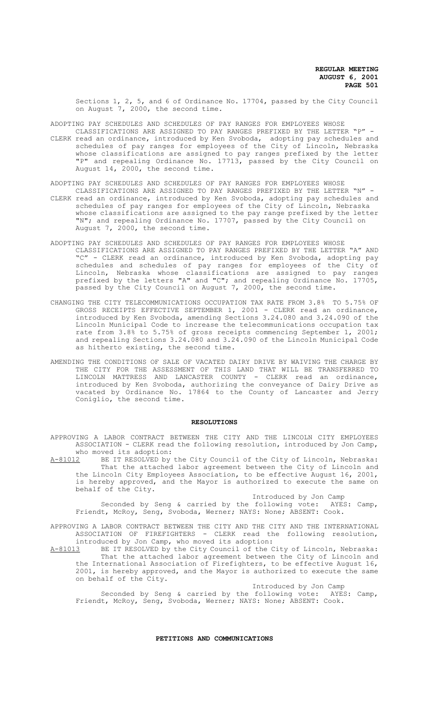Sections 1, 2, 5, and 6 of Ordinance No. 17704, passed by the City Council on August 7, 2000, the second time.

ADOPTING PAY SCHEDULES AND SCHEDULES OF PAY RANGES FOR EMPLOYEES WHOSE

- CLASSIFICATIONS ARE ASSIGNED TO PAY RANGES PREFIXED BY THE LETTER "P" CLERK read an ordinance, introduced by Ken Svoboda, adopting pay schedules and schedules of pay ranges for employees of the City of Lincoln, Nebraska whose classifications are assigned to pay ranges prefixed by the letter "P" and repealing Ordinance No. 17713, passed by the City Council on August 14, 2000, the second time.
- ADOPTING PAY SCHEDULES AND SCHEDULES OF PAY RANGES FOR EMPLOYEES WHOSE
- CLASSIFICATIONS ARE ASSIGNED TO PAY RANGES PREFIXED BY THE LETTER "N" CLERK read an ordinance, introduced by Ken Svoboda, adopting pay schedules and schedules of pay ranges for employees of the City of Lincoln, Nebraska whose classifications are assigned to the pay range prefixed by the letter "N"; and repealing Ordinance No. 17707, passed by the City Council on August 7, 2000, the second time.
- ADOPTING PAY SCHEDULES AND SCHEDULES OF PAY RANGES FOR EMPLOYEES WHOSE CLASSIFICATIONS ARE ASSIGNED TO PAY RANGES PREFIXED BY THE LETTER "A" AND "C" - CLERK read an ordinance, introduced by Ken Svoboda, adopting pay schedules and schedules of pay ranges for employees of the City of Lincoln, Nebraska whose classifications are assigned to pay ranges prefixed by the letters "A" and "C"; and repealing Ordinance No. 17705, passed by the City Council on August 7, 2000, the second time.
- CHANGING THE CITY TELECOMMUNICATIONS OCCUPATION TAX RATE FROM 3.8% TO 5.75% OF GROSS RECEIPTS EFFECTIVE SEPTEMBER 1, 2001 - CLERK read an ordinance, introduced by Ken Svoboda, amending Sections 3.24.080 and 3.24.090 of the Lincoln Municipal Code to increase the telecommunications occupation tax rate from 3.8% to 5.75% of gross receipts commencing September 1, 2001; and repealing Sections 3.24.080 and 3.24.090 of the Lincoln Municipal Code as hitherto existing, the second time.
- AMENDING THE CONDITIONS OF SALE OF VACATED DAIRY DRIVE BY WAIVING THE CHARGE BY THE CITY FOR THE ASSESSMENT OF THIS LAND THAT WILL BE TRANSFERRED TO LINCOLN MATTRESS AND LANCASTER COUNTY - CLERK read an ordinance, LINCOLN MATTRESS AND LANCASTER COUNTY - CLERK read an ordinance, introduced by Ken Svoboda, authorizing the conveyance of Dairy Drive as vacated by Ordinance No. 17864 to the County of Lancaster and Jerry Coniglio, the second time.

## **RESOLUTIONS**

APPROVING A LABOR CONTRACT BETWEEN THE CITY AND THE LINCOLN CITY EMPLOYEES ASSOCIATION - CLERK read the following resolution, introduced by Jon Camp,

who moved its adoption:<br>A-81012 BE IT RESOLVED by BE IT RESOLVED by the City Council of the City of Lincoln, Nebraska: That the attached labor agreement between the City of Lincoln and the Lincoln City Employees Association, to be effective August 16, 2001, is hereby approved, and the Mayor is authorized to execute the same on behalf of the City.

Introduced by Jon Camp<br>following vote: AYES: Camp, Seconded by Seng & carried by the following vote: AYES: Camp, Friendt, McRoy, Seng, Svoboda, Werner; NAYS: None; ABSENT: Cook.

- APPROVING A LABOR CONTRACT BETWEEN THE CITY AND THE CITY AND THE INTERNATIONAL ASSOCIATION OF FIREFIGHTERS - CLERK read the following resolution, introduced by Jon Camp, who moved its adoption:
- A-81013 BE IT RESOLVED by the City Council of the City of Lincoln, Nebraska: That the attached labor agreement between the City of Lincoln and the International Association of Firefighters, to be effective August 16, 2001, is hereby approved, and the Mayor is authorized to execute the same on behalf of the City.

Introduced by Jon Camp

Seconded by Seng & carried by the following vote: AYES: Camp, Friendt, McRoy, Seng, Svoboda, Werner; NAYS: None; ABSENT: Cook.

# **PETITIONS AND COMMUNICATIONS**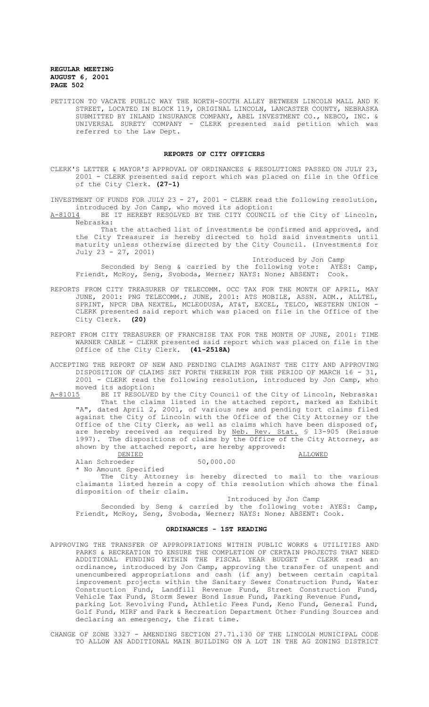PETITION TO VACATE PUBLIC WAY THE NORTH-SOUTH ALLEY BETWEEN LINCOLN MALL AND K STREET, LOCATED IN BLOCK 119, ORIGINAL LINCOLN, LANCASTER COUNTY, NEBRASKA SUBMITTED BY INLAND INSURANCE COMPANY, ABEL INVESTMENT CO., NEBCO, INC. & UNIVERSAL SURETY COMPANY - CLERK presented said petition which was referred to the Law Dept.

## **REPORTS OF CITY OFFICERS**

CLERK'S LETTER & MAYOR'S APPROVAL OF ORDINANCES & RESOLUTIONS PASSED ON JULY 23, 2001 - CLERK presented said report which was placed on file in the Office of the City Clerk. **(27-1)**

INVESTMENT OF FUNDS FOR JULY 23 - 27, 2001 - CLERK read the following resolution, introduced by Jon Camp, who moved its adoption:<br>A-81014 BE IT HEREBY RESOLVED BY THE CITY COUNCII

BE IT HEREBY RESOLVED BY THE CITY COUNCIL of the City of Lincoln, Nebraska:

That the attached list of investments be confirmed and approved, and the City Treasurer is hereby directed to hold said investments until maturity unless otherwise directed by the City Council. (Investments for July 23 - 27, 2001)

Introduced by Jon Camp Seconded by Seng & carried by the following vote: AYES: Camp, Friendt, McRoy, Seng, Svoboda, Werner; NAYS: None; ABSENT: Cook.

- REPORTS FROM CITY TREASURER OF TELECOMM. OCC TAX FOR THE MONTH OF APRIL, MAY JUNE, 2001: PNG TELECOMM.; JUNE, 2001: ATS MOBILE, ASSN. ADM., ALLTEL, SPRINT, NPCR DBA NEXTEL, MCLEODUSA, AT&T, EXCEL, TELCO, WESTERN UNION - CLERK presented said report which was placed on file in the Office of the City Clerk. **(20)**
- REPORT FROM CITY TREASURER OF FRANCHISE TAX FOR THE MONTH OF JUNE, 2001: TIME WARNER CABLE - CLERK presented said report which was placed on file in the Office of the City Clerk. **(41-2518A)**
- ACCEPTING THE REPORT OF NEW AND PENDING CLAIMS AGAINST THE CITY AND APPROVING DISPOSITION OF CLAIMS SET FORTH THEREIN FOR THE PERIOD OF MARCH 16 - 31, 2001 - CLERK read the following resolution, introduced by Jon Camp, who moved its adoption:<br>A-8101<u>5</u> BE IT RESOLVEI

BE IT RESOLVED by the City Council of the City of Lincoln, Nebraska: That the claims listed in the attached report, marked as Exhibit "A", dated April 2, 2001, of various new and pending tort claims filed against the City of Lincoln with the Office of the City Attorney or the Office of the City Clerk, as well as claims which have been disposed of, are hereby received as required by Neb. Rev. Stat. § 13-905 (Reissue 1997). The dispositions of claims by the Office of the City Attorney, as shown by the attached report, are hereby approved:

DENIED ALLOWED AND ALLOWED Alan Schroeder 50,000.00

\* No Amount Specified

The City Attorney is hereby directed to mail to the various claimants listed herein a copy of this resolution which shows the final disposition of their claim.

Introduced by Jon Camp

Seconded by Seng & carried by the following vote: AYES: Camp, Friendt, McRoy, Seng, Svoboda, Werner; NAYS: None; ABSENT: Cook.

# **ORDINANCES - 1ST READING**

APPROVING THE TRANSFER OF APPROPRIATIONS WITHIN PUBLIC WORKS & UTILITIES AND PARKS & RECREATION TO ENSURE THE COMPLETION OF CERTAIN PROJECTS THAT NEED ADDITIONAL FUNDING WITHIN THE FISCAL YEAR BUDGET - CLERK read an ordinance, introduced by Jon Camp, approving the transfer of unspent and unencumbered appropriations and cash (if any) between certain capital improvement projects within the Sanitary Sewer Construction Fund, Water Construction Fund, Landfill Revenue Fund, Street Construction Fund, Vehicle Tax Fund, Storm Sewer Bond Issue Fund, Parking Revenue Fund, parking Lot Revolving Fund, Athletic Fees Fund, Keno Fund, General Fund, Golf Fund, MIRF and Park & Recreation Department Other Funding Sources and declaring an emergency, the first time.

CHANGE OF ZONE 3327 - AMENDING SECTION 27.71.130 OF THE LINCOLN MUNICIPAL CODE TO ALLOW AN ADDITIONAL MAIN BUILDING ON A LOT IN THE AG ZONING DISTRICT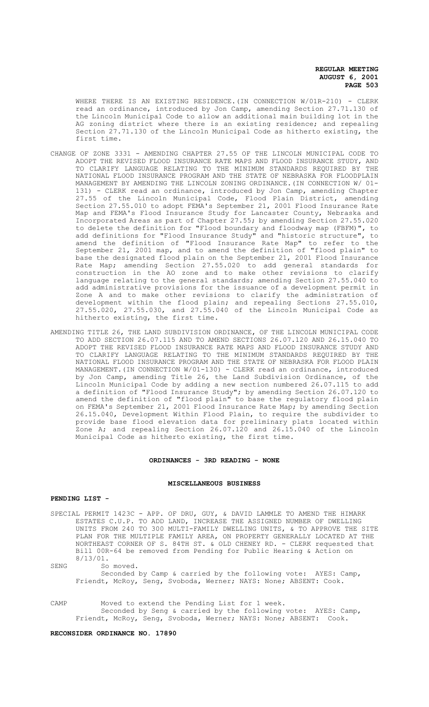WHERE THERE IS AN EXISTING RESIDENCE. (IN CONNECTION W/01R-210) - CLERK read an ordinance, introduced by Jon Camp, amending Section 27.71.130 of the Lincoln Municipal Code to allow an additional main building lot in the AG zoning district where there is an existing residence; and repealing Section 27.71.130 of the Lincoln Municipal Code as hitherto existing, the first time.

- CHANGE OF ZONE 3331 AMENDING CHAPTER 27.55 OF THE LINCOLN MUNICIPAL CODE TO ADOPT THE REVISED FLOOD INSURANCE RATE MAPS AND FLOOD INSURANCE STUDY, AND TO CLARIFY LANGUAGE RELATING TO THE MINIMUM STANDARDS REQUIRED BY THE NATIONAL FLOOD INSURANCE PROGRAM AND THE STATE OF NEBRASKA FOR FLOODPLAIN MANAGEMENT BY AMENDING THE LINCOLN ZONING ORDINANCE.(IN CONNECTION W/ 01- 131) - CLERK read an ordinance, introduced by Jon Camp, amending Chapter 27.55 of the Lincoln Municipal Code, Flood Plain District, amending Section 27.55.010 to adopt FEMA's September 21, 2001 Flood Insurance Rate Map and FEMA's Flood Insurance Study for Lancaster County, Nebraska and Incorporated Areas as part of Chapter 27.55; by amending Section 27.55.020 to delete the definition for "Flood boundary and floodway map (FBFM)", to add definitions for "Flood Insurance Study" and "historic structure", to amend the definition of "Flood Insurance Rate Map" to refer to the September 21, 2001 map, and to amend the definition of "flood plain" to base the designated flood plain on the September 21, 2001 Flood Insurance Rate Map; amending Section 27.55.020 to add general standards for construction in the AO zone and to make other revisions to clarify language relating to the general standards; amending Section 27.55.040 to add administrative provisions for the issuance of a development permit in Zone A and to make other revisions to clarify the administration of development within the flood plain; and repealing Sections 27.55.010, 27.55.020, 27.55.030, and 27.55.040 of the Lincoln Municipal Code as hitherto existing, the first time.
- AMENDING TITLE 26, THE LAND SUBDIVISION ORDINANCE, OF THE LINCOLN MUNICIPAL CODE TO ADD SECTION 26.07.115 AND TO AMEND SECTIONS 26.07.120 AND 26.15.040 TO ADOPT THE REVISED FLOOD INSURANCE RATE MAPS AND FLOOD INSURANCE STUDY AND TO CLARIFY LANGUAGE RELATING TO THE MINIMUM STANDARDS REQUIRED BY THE NATIONAL FLOOD INSURANCE PROGRAM AND THE STATE OF NEBRASKA FOR FLOOD PLAIN MANAGEMENT. (IN CONNECTION W/01-130) - CLERK read an ordinance, introduced by Jon Camp, amending Title 26, the Land Subdivision Ordinance, of the Lincoln Municipal Code by adding a new section numbered 26.07.115 to add a definition of "Flood Insurance Study"; by amending Section 26.07.120 to amend the definition of "flood plain" to base the regulatory flood plain on FEMA's September 21, 2001 Flood Insurance Rate Map; by amending Section 26.15.040, Development Within Flood Plain, to require the subdivider to provide base flood elevation data for preliminary plats located within Zone A; and repealing Section 26.07.120 and 26.15.040 of the Lincoln Municipal Code as hitherto existing, the first time.

### **ORDINANCES - 3RD READING - NONE**

## **MISCELLANEOUS BUSINESS**

## **PENDING LIST -**

SPECIAL PERMIT 1423C - APP. OF DRU, GUY, & DAVID LAMMLE TO AMEND THE HIMARK ESTATES C.U.P. TO ADD LAND, INCREASE THE ASSIGNED NUMBER OF DWELLING UNITS FROM 240 TO 300 MULTI-FAMILY DWELLING UNITS, & TO APPROVE THE SITE PLAN FOR THE MULTIPLE FAMILY AREA, ON PROPERTY GENERALLY LOCATED AT THE NORTHEAST CORNER OF S. 84TH ST. & OLD CHENEY RD. - CLERK requested that Bill 00R-64 be removed from Pending for Public Hearing & Action on 8/13/01.

SENG So moved.

Seconded by Camp & carried by the following vote: AYES: Camp, Friendt, McRoy, Seng, Svoboda, Werner; NAYS: None; ABSENT: Cook.

CAMP Moved to extend the Pending List for 1 week. Seconded by Seng & carried by the following vote: AYES: Camp, Friendt, McRoy, Seng, Svoboda, Werner; NAYS: None; ABSENT: Cook.

## **RECONSIDER ORDINANCE NO. 17890**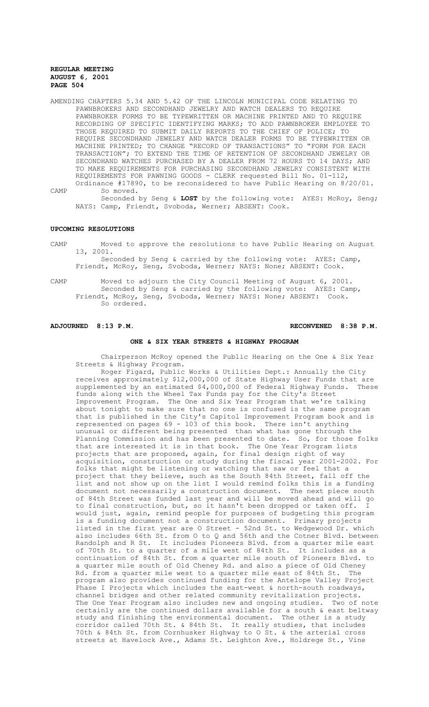- AMENDING CHAPTERS 5.34 AND 5.42 OF THE LINCOLN MUNICIPAL CODE RELATING TO PAWNBROKERS AND SECONDHAND JEWELRY AND WATCH DEALERS TO REQUIRE PAWNBROKER FORMS TO BE TYPEWRITTEN OR MACHINE PRINTED AND TO REQUIRE RECORDING OF SPECIFIC IDENTIFYING MARKS; TO ADD PAWNBROKER EMPLOYEE TO THOSE REQUIRED TO SUBMIT DAILY REPORTS TO THE CHIEF OF POLICE; TO REQUIRE SECONDHAND JEWELRY AND WATCH DEALER FORMS TO BE TYPEWRITTEN OR MACHINE PRINTED; TO CHANGE "RECORD OF TRANSACTIONS" TO "FORM FOR EACH TRANSACTION"; TO EXTEND THE TIME OF RETENTION OF SECONDHAND JEWELRY OR SECONDHAND WATCHES PURCHASED BY A DEALER FROM 72 HOURS TO 14 DAYS; AND TO MAKE REQUIREMENTS FOR PURCHASING SECONDHAND JEWELRY CONSISTENT WITH REQUIREMENTS FOR PAWNING GOODS - CLERK requested Bill No. 01-112, Ordinance #17890, to be reconsidered to have Public Hearing on 8/20/01.
- CAMP So moved. Seconded by Seng & **LOST** by the following vote: AYES: McRoy, Seng; NAYS: Camp, Friendt, Svoboda, Werner; ABSENT: Cook.

## **UPCOMING RESOLUTIONS**

CAMP Moved to approve the resolutions to have Public Hearing on August 13, 2001.

Seconded by Seng & carried by the following vote: AYES: Camp, Friendt, McRoy, Seng, Svoboda, Werner; NAYS: None; ABSENT: Cook.

CAMP Moved to adjourn the City Council Meeting of August 6, 2001. Seconded by Seng & carried by the following vote: AYES: Camp, Friendt, McRoy, Seng, Svoboda, Werner; NAYS: None; ABSENT: Cook. So ordered.

# **ADJOURNED 8:13 P.M. RECONVENED 8:38 P.M.**

# **ONE & SIX YEAR STREETS & HIGHWAY PROGRAM**

Chairperson McRoy opened the Public Hearing on the One & Six Year Streets & Highway Program.

Roger Figard, Public Works & Utilities Dept.: Annually the City receives approximately \$12,000,000 of State Highway User Funds that are<br>supplemented by an estimated \$4,000,000 of Federal Highway Funds. These supplemented by an estimated  $$4,000,000$  of Federal Highway Funds. funds along with the Wheel Tax Funds pay for the City's Street Improvement Program. The One and Six Year Program that we're talking about tonight to make sure that no one is confused is the same program that is published in the City's Capitol Improvement Program book and is represented on pages 69 - 103 of this book. There isn't anything unusual or different being presented than what has gone through the Planning Commission and has been presented to date. So, for those folks that are interested it is in that book. The One Year Program lists projects that are proposed, again, for final design right of way acquisition, construction or study during the fiscal year 2001-2002. For folks that might be listening or watching that saw or feel that a project that they believe, such as the South 84th Street, fall off the list and not show up on the list I would remind folks this is a funding document not necessarily a construction document. The next piece south of 84th Street was funded last year and will be moved ahead and will go to final construction, but, so it hasn't been dropped or taken off. would just, again, remind people for purposes of budgeting this program is a funding document not a construction document. Primary projects listed in the first year are O Street - 52nd St. to Wedgewood Dr. which also includes 66th St. from O to Q and 56th and the Cotner Blvd. between Randolph and R St. It includes Pioneers Blvd. from a quarter mile east of 70th St. to a quarter of a mile west of 84th St. It includes as a continuation of 84th St. from a quarter mile south of Pioneers Blvd. to a quarter mile south of Old Cheney Rd. and also a piece of Old Cheney Rd. from a quarter mile west to a quarter mile east of 84th St. The program also provides continued funding for the Antelope Valley Project Phase I Projects which includes the east-west & north-south roadways, channel bridges and other related community revitalization projects. The One Year Program also includes new and ongoing studies. Two of note certainly are the continued dollars available for a south & east beltway study and finishing the environmental document. The other is a study corridor called 70th St. & 84th St. It really studies, that includes 70th & 84th St. from Cornhusker Highway to O St. & the arterial cross streets at Havelock Ave., Adams St. Leighton Ave., Holdrege St., Vine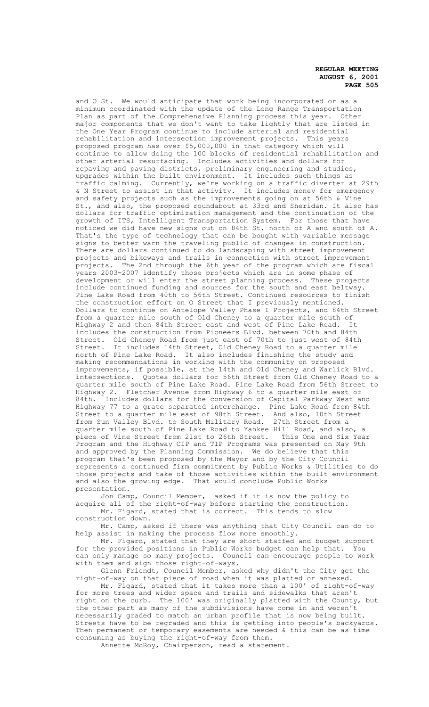and O St. We would anticipate that work being incorporated or as a minimum coordinated with the update of the Long Range Transportation Plan as part of the Comprehensive Planning process this year. Other major components that we don't want to take lightly that are listed in the One Year Program continue to include arterial and residential rehabilitation and intersection improvement projects. This years proposed program has over \$5,000,000 in that category which will continue to allow doing the 100 blocks of residential rehabilitation and other arterial resurfacing. Includes activities and dollars for repaving and paving districts, preliminary engineering and studies, upgrades within the built environment. It includes such things as traffic calming. Currently, we're working on a traffic diverter at 29th & N Street to assist in that activity. It includes money for emergency and safety projects such as the improvements going on at 56th & Vine St., and also, the proposed roundabout at 33rd and Sheridan. It also has dollars for traffic optimization management and the continuation of the growth of ITS, Intelligent Transportation System. For those that have noticed we did have new signs out on 84th St. north of A and south of A. That's the type of technology that can be bought with variable message signs to better warn the traveling public of changes in construction. There are dollars continued to do landscaping with street improvement projects and bikeways and trails in connection with street improvement projects. The 2nd through the 6th year of the program which are fiscal years 2003-2007 identify those projects which are in some phase of development or will enter the street planning process. These projects include continued funding and sources for the south and east beltway. Pine Lake Road from 40th to 56th Street. Continued resources to finish the construction effort on O Street that I previously mentioned. Dollars to continue on Antelope Valley Phase I Projects, and 84th Street from a quarter mile south of Old Cheney to a quarter mile south of Highway 2 and then 84th Street east and west of Pine Lake Road. includes the construction from Pioneers Blvd. between 70th and 84th Street. Old Cheney Road from just east of 70th to just west of 84th Street. It includes 14th Street, Old Cheney Road to a quarter mile north of Pine Lake Road. It also includes finishing the study and making recommendations in working with the community on proposed improvements, if possible, at the 14th and Old Cheney and Warlick Blvd. intersections. Quotes dollars for 56th Street from Old Cheney Road to a quarter mile south of Pine Lake Road. Pine Lake Road from 56th Street to Highway 2. Fletcher Avenue from Highway 6 to a quarter mile east of 84th. Includes dollars for the conversion of Capital Parkway West and Highway 77 to a grate separated interchange. Pine Lake Road from 84th Street to a quarter mile east of 98th Street. And also, 10th Street from Sun Valley Blvd. to South Military Road. 27th Street from a quarter mile south of Pine Lake Road to Yankee Hill Road, and also, a piece of Vine Street from 21st to 26th Street. This One and Six Year Program and the Highway CIP and TIP Programs was presented on May 9th and approved by the Planning Commission. We do believe that this program that's been proposed by the Mayor and by the City Council represents a continued firm commitment by Public Works & Utilities to do those projects and take of those activities within the built environment<br>and also the growing edge. That would conclude Public Works That would conclude Public Works presentation.

Jon Camp, Council Member, asked if it is now the policy to acquire all of the right-of-way before starting the construction. Mr. Figard, stated that is correct. This tends to slow construction down.

Mr. Camp, asked if there was anything that City Council can do to help assist in making the process flow more smoothly.

Mr. Figard, stated that they are short staffed and budget support for the provided positions in Public Works budget can help that. You can only manage so many projects. Council can encourage people to work with them and sign those right-of-ways.

Glenn Friendt, Council Member, asked why didn't the City get the right-of-way on that piece of road when it was platted or annexed.

Mr. Figard, stated that it takes more than a 100' of right-of-way for more trees and wider space and trails and sidewalks that aren't right on the curb. The 100' was originally platted with the County, but the other part as many of the subdivisions have come in and weren' necessarily graded to match an urban profile that is now being built. Streets have to be regraded and this is getting into people's backyards. Then permanent or temporary easements are needed & this can be as time consuming as buying the right-of-way from them.

Annette McRoy, Chairperson, read a statement.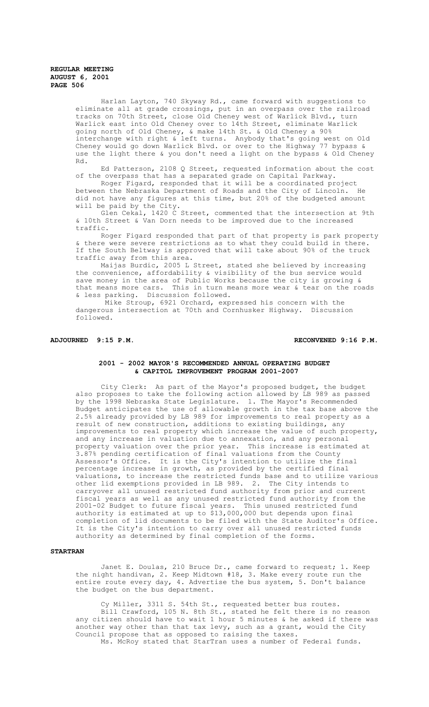Harlan Layton, 740 Skyway Rd., came forward with suggestions to eliminate all at grade crossings, put in an overpass over the railroad tracks on 70th Street, close Old Cheney west of Warlick Blvd., turn Warlick east into Old Cheney over to 14th Street, eliminate Warlick going north of Old Cheney, & make 14th St. & Old Cheney a 90% interchange with right & left turns. Anybody that's going west on Old Cheney would go down Warlick Blvd. or over to the Highway 77 bypass & use the light there & you don't need a light on the bypass & Old Cheney Rd.

Ed Patterson, 2108 Q Street, requested information about the cost of the overpass that has a separated grade on Capital Parkway.

Roger Figard, responded that it will be a coordinated project between the Nebraska Department of Roads and the City of Lincoln. He did not have any figures at this time, but 20% of the budgeted amount will be paid by the City.

Glen Cekal, 1420 C Street, commented that the intersection at 9th & 10th Street & Van Dorn needs to be improved due to the increased traffic.

Roger Figard responded that part of that property is park property & there were severe restrictions as to what they could build in there. If the South Beltway is approved that will take about 90% of the truck traffic away from this area.

Maijas Burdic, 2005 L Street, stated she believed by increasing the convenience, affordability & visibility of the bus service would save money in the area of Public Works because the city is growing & that means more cars. This in turn means more wear & tear on the roads & less parking. Discussion followed.

 Mike Stroup, 6921 Orchard, expressed his concern with the dangerous intersection at 70th and Cornhusker Highway. Discussion followed.

# **ADJOURNED 9:15 P.M. RECONVENED 9:16 P.M.**

# **2001 - 2002 MAYOR'S RECOMMENDED ANNUAL OPERATING BUDGET & CAPITOL IMPROVEMENT PROGRAM 2001-2007**

City Clerk: As part of the Mayor's proposed budget, the budget also proposes to take the following action allowed by LB 989 as passed by the 1998 Nebraska State Legislature. 1. The Mayor's Recommended Budget anticipates the use of allowable growth in the tax base above the 2.5% already provided by LB 989 for improvements to real property as a result of new construction, additions to existing buildings, any improvements to real property which increase the value of such property, and any increase in valuation due to annexation, and any personal property valuation over the prior year. This increase is estimated at 3.87% pending certification of final valuations from the County Assessor's Office. It is the City's intention to utilize the final percentage increase in growth, as provided by the certified final valuations, to increase the restricted funds base and to utilize various other lid exemptions provided in LB 989. 2. The City intends to carryover all unused restricted fund authority from prior and current fiscal years as well as any unused restricted fund authority from the 2001-02 Budget to future fiscal years. This unused restricted fund authority is estimated at up to \$13,000,000 but depends upon final completion of lid documents to be filed with the State Auditor's Office. It is the City's intention to carry over all unused restricted funds authority as determined by final completion of the forms.

# **STARTRAN**

Janet E. Doulas, 210 Bruce Dr., came forward to request; 1. Keep the night handivan, 2. Keep Midtown #18, 3. Make every route run the entire route every day, 4. Advertise the bus system,  $\overline{5}$ . Don't balance the budget on the bus department.

Cy Miller, 3311 S. 54th St., requested better bus routes. Bill Crawford, 105 N. 8th St., stated he felt there is no reason any citizen should have to wait 1 hour 5 minutes & he asked if there was another way other than that tax levy, such as a grant, would the City Council propose that as opposed to raising the taxes. Ms. McRoy stated that StarTran uses a number of Federal funds.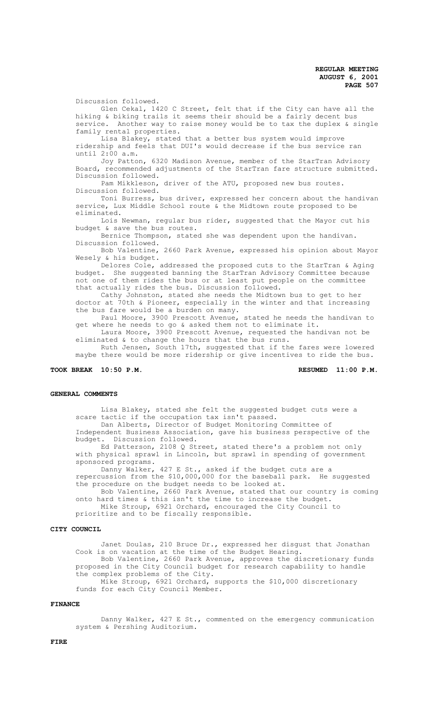Discussion followed. Glen Cekal, 1420 C Street, felt that if the City can have all the hiking & biking trails it seems their should be a fairly decent bus service. Another way to raise money would be to tax the duplex & single family rental properties.

Lisa Blakey, stated that a better bus system would improve ridership and feels that DUI's would decrease if the bus service ran until 2:00 a.m.

Joy Patton, 6320 Madison Avenue, member of the StarTran Advisory Board, recommended adjustments of the StarTran fare structure submitted. Discussion followed.

Pam Mikkleson, driver of the ATU, proposed new bus routes. Discussion followed.

Toni Burress, bus driver, expressed her concern about the handivan service, Lux Middle School route & the Midtown route proposed to be eliminated.

Lois Newman, regular bus rider, suggested that the Mayor cut his budget & save the bus routes.

Bernice Thompson, stated she was dependent upon the handivan. Discussion followed.

Bob Valentine, 2660 Park Avenue, expressed his opinion about Mayor Wesely & his budget.

Delores Cole, addressed the proposed cuts to the StarTran & Aging budget. She suggested banning the StarTran Advisory Committee because not one of them rides the bus or at least put people on the committee that actually rides the bus. Discussion followed.

Cathy Johnston, stated she needs the Midtown bus to get to her doctor at  $70th$  & Pioneer, especially in the winter and that increasing the bus fare would be a burden on many.

Paul Moore, 3900 Prescott Avenue, stated he needs the handivan to get where he needs to go & asked them not to eliminate it.

Laura Moore, 3900 Prescott Avenue, requested the handivan not be eliminated & to change the hours that the bus runs.

Ruth Jensen, South 17th, suggested that if the fares were lowered maybe there would be more ridership or give incentives to ride the bus.

# **TOOK BREAK 10:50 P.M. RESUMED 11:00 P.M.**

## **GENERAL COMMENTS**

Lisa Blakey, stated she felt the suggested budget cuts were a scare tactic if the occupation tax isn't passed.

Dan Alberts, Director of Budget Monitoring Committee of Independent Business Association, gave his business perspective of the budget. Discussion followed.

Ed Patterson, 2108 Q Street, stated there's a problem not only with physical sprawl in Lincoln, but sprawl in spending of government sponsored programs.

Danny Walker, 427 E St., asked if the budget cuts are a repercussion from the \$10,000,000 for the baseball park. He suggested the procedure on the budget needs to be looked at.

Bob Valentine, 2660 Park Avenue, stated that our country is coming onto hard times & this isn't the time to increase the budget. Mike Stroup, 6921 Orchard, encouraged the City Council to

prioritize and to be fiscally responsible.

# **CITY COUNCIL**

Janet Doulas, 210 Bruce Dr., expressed her disgust that Jonathan Cook is on vacation at the time of the Budget Hearing. Bob Valentine, 2660 Park Avenue, approves the discretionary funds proposed in the City Council budget for research capability to handle the complex problems of the City. Mike Stroup, 6921 Orchard, supports the \$10,000 discretionary

funds for each City Council Member.

# **FINANCE**

Danny Walker, 427 E St., commented on the emergency communication system & Pershing Auditorium.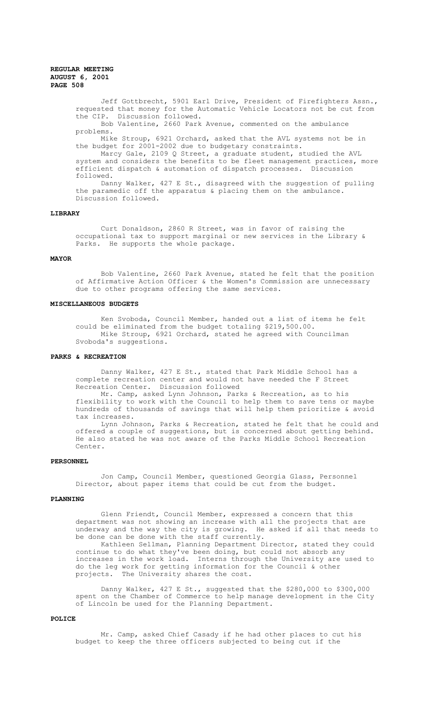Jeff Gottbrecht, 5901 Earl Drive, President of Firefighters Assn., requested that money for the Automatic Vehicle Locators not be cut from the CIP. Discussion followed. Bob Valentine, 2660 Park Avenue, commented on the ambulance problems. Mike Stroup, 6921 Orchard, asked that the AVL systems not be in the budget for 2001-2002 due to budgetary constraints. Marcy Gale, 2109 Q Street, a graduate student, studied the AVL system and considers the benefits to be fleet management practices, more efficient dispatch & automation of dispatch processes. Discussion followed. Danny Walker, 427 E St., disagreed with the suggestion of pulling the paramedic off the apparatus & placing them on the ambulance. Discussion followed.

## **LIBRARY**

Curt Donaldson, 2860 R Street, was in favor of raising the occupational tax to support marginal or new services in the Library & Parks. He supports the whole package.

#### **MAYOR**

Bob Valentine, 2660 Park Avenue, stated he felt that the position of Affirmative Action Officer & the Women's Commission are unnecessary due to other programs offering the same services.

## **MISCELLANEOUS BUDGETS**

Ken Svoboda, Council Member, handed out a list of items he felt could be eliminated from the budget totaling \$219,500.00. Mike Stroup, 6921 Orchard, stated he agreed with Councilman Svoboda's suggestions.

# **PARKS & RECREATION**

Danny Walker, 427 E St., stated that Park Middle School has a complete recreation center and would not have needed the F Street Recreation Center. Discussion followed

Mr. Camp, asked Lynn Johnson, Parks & Recreation, as to his flexibility to work with the Council to help them to save tens or maybe hundreds of thousands of savings that will help them prioritize & avoid tax increases.

Lynn Johnson, Parks & Recreation, stated he felt that he could and offered a couple of suggestions, but is concerned about getting behind. He also stated he was not aware of the Parks Middle School Recreation Center.

# **PERSONNEL**

Jon Camp, Council Member, questioned Georgia Glass, Personnel Director, about paper items that could be cut from the budget.

# **PLANNING**

Glenn Friendt, Council Member, expressed a concern that this department was not showing an increase with all the projects that are underway and the way the city is growing. He asked if all that needs to be done can be done with the staff currently.

Kathleen Sellman, Planning Department Director, stated they could continue to do what they've been doing, but could not absorb any increases in the work load. Interns through the University are used to do the leg work for getting information for the Council & other projects. The University shares the cost.

Danny Walker, 427 E St., suggested that the \$280,000 to \$300,000 spent on the Chamber of Commerce to help manage development in the City of Lincoln be used for the Planning Department.

## **POLICE**

Mr. Camp, asked Chief Casady if he had other places to cut his budget to keep the three officers subjected to being cut if the